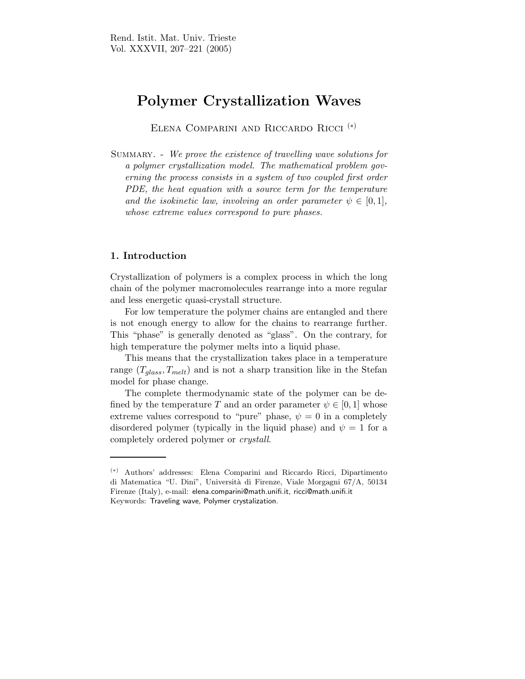# Polymer Crystallization Waves

Elena Comparini and Riccardo Ricci (∗)

Summary. - We prove the existence of travelling wave solutions for a polymer crystallization model. The mathematical problem governing the process consists in a system of two coupled first order PDE, the heat equation with a source term for the temperature and the isokinetic law, involving an order parameter  $\psi \in [0,1]$ , whose extreme values correspond to pure phases.

# 1. Introduction

Crystallization of polymers is a complex process in which the long chain of the polymer macromolecules rearrange into a more regular and less energetic quasi-crystall structure.

For low temperature the polymer chains are entangled and there is not enough energy to allow for the chains to rearrange further. This "phase" is generally denoted as "glass". On the contrary, for high temperature the polymer melts into a liquid phase.

This means that the crystallization takes place in a temperature range  $(T_{glass}, T_{melt})$  and is not a sharp transition like in the Stefan model for phase change.

The complete thermodynamic state of the polymer can be defined by the temperature T and an order parameter  $\psi \in [0, 1]$  whose extreme values correspond to "pure" phase,  $\psi = 0$  in a completely disordered polymer (typically in the liquid phase) and  $\psi = 1$  for a completely ordered polymer or crystall.

<sup>(</sup>∗) Authors' addresses: Elena Comparini and Riccardo Ricci, Dipartimento di Matematica "U. Dini", Universit`a di Firenze, Viale Morgagni 67/A, 50134 Firenze (Italy), e-mail: elena.comparini@math.unifi.it, ricci@math.unifi.it Keywords: Traveling wave, Polymer crystalization.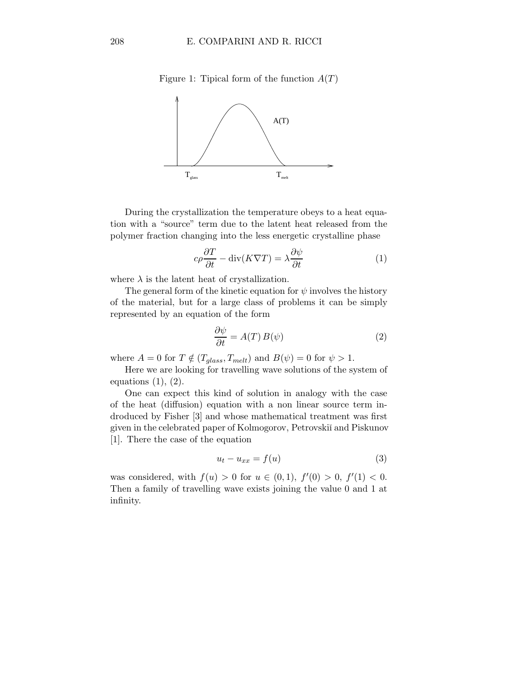Figure 1: Tipical form of the function  $A(T)$ 



During the crystallization the temperature obeys to a heat equation with a "source" term due to the latent heat released from the polymer fraction changing into the less energetic crystalline phase

$$
c\rho \frac{\partial T}{\partial t} - \operatorname{div}(K\nabla T) = \lambda \frac{\partial \psi}{\partial t}
$$
 (1)

where  $\lambda$  is the latent heat of crystallization.

The general form of the kinetic equation for  $\psi$  involves the history of the material, but for a large class of problems it can be simply represented by an equation of the form

$$
\frac{\partial \psi}{\partial t} = A(T) B(\psi) \tag{2}
$$

where  $A = 0$  for  $T \notin (T_{glass}, T_{melt})$  and  $B(\psi) = 0$  for  $\psi > 1$ .

Here we are looking for travelling wave solutions of the system of equations  $(1)$ ,  $(2)$ .

One can expect this kind of solution in analogy with the case of the heat (diffusion) equation with a non linear source term indroduced by Fisher [3] and whose mathematical treatment was first given in the celebrated paper of Kolmogorov, Petrovskii and Piskunov [1]. There the case of the equation

$$
u_t - u_{xx} = f(u) \tag{3}
$$

was considered, with  $f(u) > 0$  for  $u \in (0,1)$ ,  $f'(0) > 0$ ,  $f'(1) < 0$ . Then a family of travelling wave exists joining the value 0 and 1 at infinity.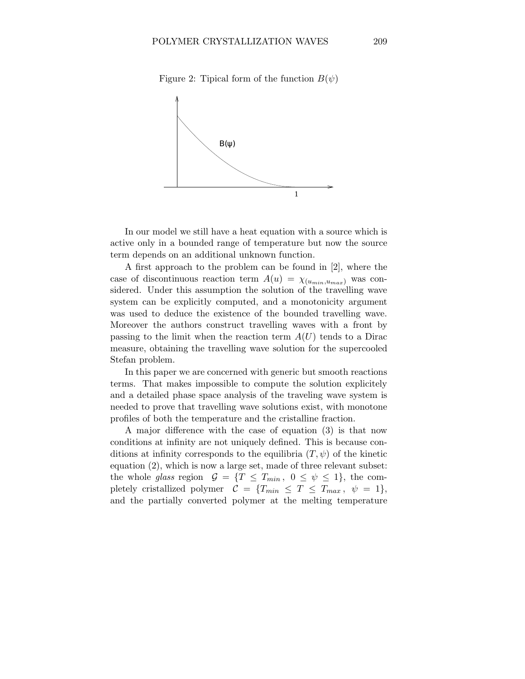

Figure 2: Tipical form of the function  $B(\psi)$ 

In our model we still have a heat equation with a source which is active only in a bounded range of temperature but now the source term depends on an additional unknown function.

A first approach to the problem can be found in [2], where the case of discontinuous reaction term  $A(u) = \chi_{(u_{min},u_{max})}$  was considered. Under this assumption the solution of the travelling wave system can be explicitly computed, and a monotonicity argument was used to deduce the existence of the bounded travelling wave. Moreover the authors construct travelling waves with a front by passing to the limit when the reaction term  $A(U)$  tends to a Dirac measure, obtaining the travelling wave solution for the supercooled Stefan problem.

In this paper we are concerned with generic but smooth reactions terms. That makes impossible to compute the solution explicitely and a detailed phase space analysis of the traveling wave system is needed to prove that travelling wave solutions exist, with monotone profiles of both the temperature and the cristalline fraction.

A major difference with the case of equation (3) is that now conditions at infinity are not uniquely defined. This is because conditions at infinity corresponds to the equilibria  $(T, \psi)$  of the kinetic equation (2), which is now a large set, made of three relevant subset: the whole glass region  $G = \{T \leq T_{min}, 0 \leq \psi \leq 1\}$ , the completely cristallized polymer  $C = \{T_{min} \leq T \leq T_{max}, \psi = 1\},\$ and the partially converted polymer at the melting temperature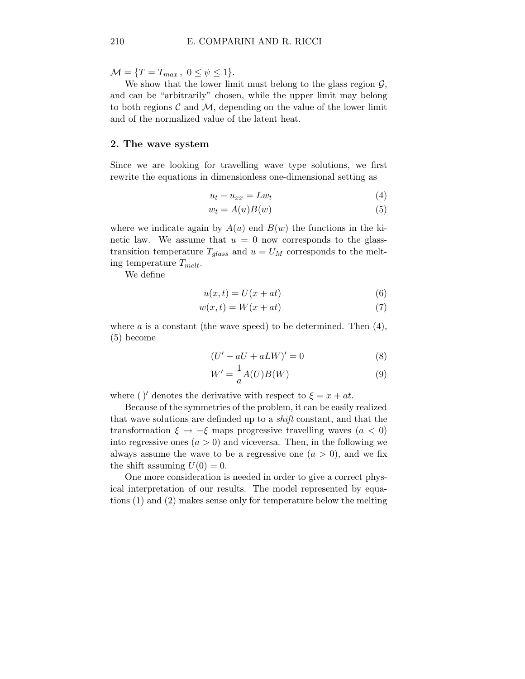$\mathcal{M} = \{T = T_{max}, 0 \le \psi \le 1\}.$ 

We show that the lower limit must belong to the glass region  $\mathcal{G}$ , and can be "arbitrarily" chosen, while the upper limit may belong to both regions  $\mathcal C$  and  $\mathcal M$ , depending on the value of the lower limit and of the normalized value of the latent heat.

#### 2. The wave system

Since we are looking for travelling wave type solutions, we first rewrite the equations in dimensionless one-dimensional setting as

$$
u_t - u_{xx} = L w_t \tag{4}
$$

$$
w_t = A(u)B(w) \tag{5}
$$

where we indicate again by  $A(u)$  end  $B(w)$  the functions in the kinetic law. We assume that  $u = 0$  now corresponds to the glasstransition temperature  $T_{glass}$  and  $u = U_M$  corresponds to the melting temperature  $T_{melt}$ .

We define

$$
u(x,t) = U(x+at)
$$
\n<sup>(6)</sup>

$$
w(x,t) = W(x+at)
$$
\n(7)

where  $a$  is a constant (the wave speed) to be determined. Then  $(4)$ , (5) become

$$
(U' - aU + aLW)' = 0
$$
\n<sup>(8)</sup>

$$
W' = \frac{1}{a}A(U)B(W)
$$
\n(9)

where ()' denotes the derivative with respect to  $\xi = x + at$ .

Because of the symmetries of the problem, it can be easily realized that wave solutions are definded up to a shift constant, and that the transformation  $\xi \to -\xi$  maps progressive travelling waves  $(a < 0)$ into regressive ones  $(a > 0)$  and viceversa. Then, in the following we always assume the wave to be a regressive one  $(a > 0)$ , and we fix the shift assuming  $U(0) = 0$ .

One more consideration is needed in order to give a correct physical interpretation of our results. The model represented by equations (1) and (2) makes sense only for temperature below the melting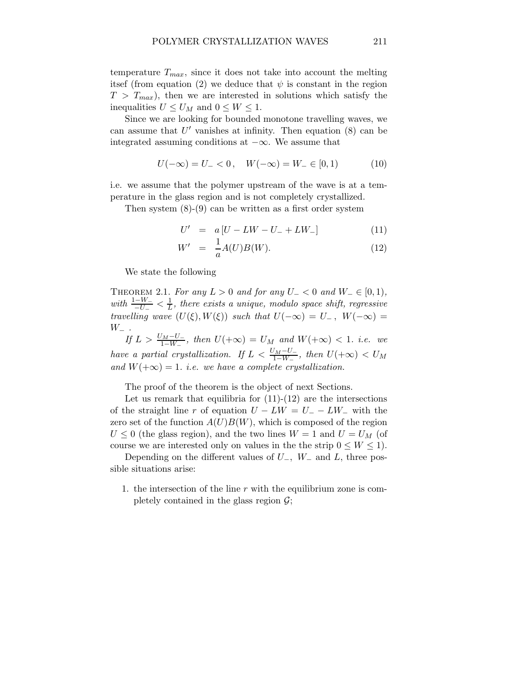temperature  $T_{max}$ , since it does not take into account the melting itsef (from equation (2) we deduce that  $\psi$  is constant in the region  $T > T_{max}$ , then we are interested in solutions which satisfy the inequalities  $U \leq U_M$  and  $0 \leq W \leq 1$ .

Since we are looking for bounded monotone travelling waves, we can assume that  $U'$  vanishes at infinity. Then equation  $(8)$  can be integrated assuming conditions at  $-\infty$ . We assume that

$$
U(-\infty) = U_{-} < 0, \quad W(-\infty) = W_{-} \in [0, 1) \tag{10}
$$

i.e. we assume that the polymer upstream of the wave is at a temperature in the glass region and is not completely crystallized.

Then system  $(8)-(9)$  can be written as a first order system

$$
U' = a [U - LW - U_- + LW_-]
$$
 (11)

$$
W' = \frac{1}{a}A(U)B(W). \tag{12}
$$

We state the following

THEOREM 2.1. For any  $L > 0$  and for any  $U_{-} < 0$  and  $W_{-} \in [0,1)$ , with  $\frac{1-W_-}{-U_-} < \frac{1}{L}$ , there exists a unique, modulo space shift, regressive travelling wave  $(U(\xi),W(\xi))$  such that  $U(-\infty) = U_-, W(-\infty) =$  $W_-\;$ .

If  $L > \frac{U_M - U_-}{1 - W_-}$ , then  $U(+\infty) = U_M$  and  $W(+\infty) < 1$ . i.e. we have a partial crystallization. If  $L < \frac{U_M - U_-}{1 - W_-}$ , then  $U(+\infty) < U_M$ and  $W(+\infty) = 1$ . *i.e.* we have a complete crystallization.

The proof of the theorem is the object of next Sections.

Let us remark that equilibria for  $(11)-(12)$  are the intersections of the straight line r of equation  $U - LW = U - LW$  with the zero set of the function  $A(U)B(W)$ , which is composed of the region  $U \leq 0$  (the glass region), and the two lines  $W = 1$  and  $U = U_M$  (of course we are interested only on values in the the strip  $0 \leq W \leq 1$ .

Depending on the different values of  $U_-, W_-\,$  and  $L$ , three possible situations arise:

1. the intersection of the line  $r$  with the equilibrium zone is completely contained in the glass region  $\mathcal{G}$ ;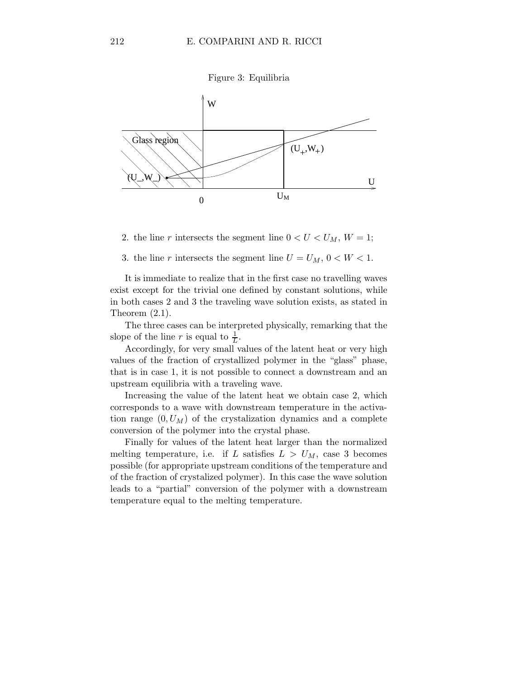



2. the line r intersects the segment line  $0 < U < U_M$ ,  $W = 1$ ;

3. the line r intersects the segment line  $U = U_M$ ,  $0 < W < 1$ .

It is immediate to realize that in the first case no travelling waves exist except for the trivial one defined by constant solutions, while in both cases 2 and 3 the traveling wave solution exists, as stated in Theorem (2.1).

The three cases can be interpreted physically, remarking that the slope of the line r is equal to  $\frac{1}{L}$ .

Accordingly, for very small values of the latent heat or very high values of the fraction of crystallized polymer in the "glass" phase, that is in case 1, it is not possible to connect a downstream and an upstream equilibria with a traveling wave.

Increasing the value of the latent heat we obtain case 2, which corresponds to a wave with downstream temperature in the activation range  $(0, U_M)$  of the crystalization dynamics and a complete conversion of the polymer into the crystal phase.

Finally for values of the latent heat larger than the normalized melting temperature, i.e. if L satisfies  $L > U_M$ , case 3 becomes possible (for appropriate upstream conditions of the temperature and of the fraction of crystalized polymer). In this case the wave solution leads to a "partial" conversion of the polymer with a downstream temperature equal to the melting temperature.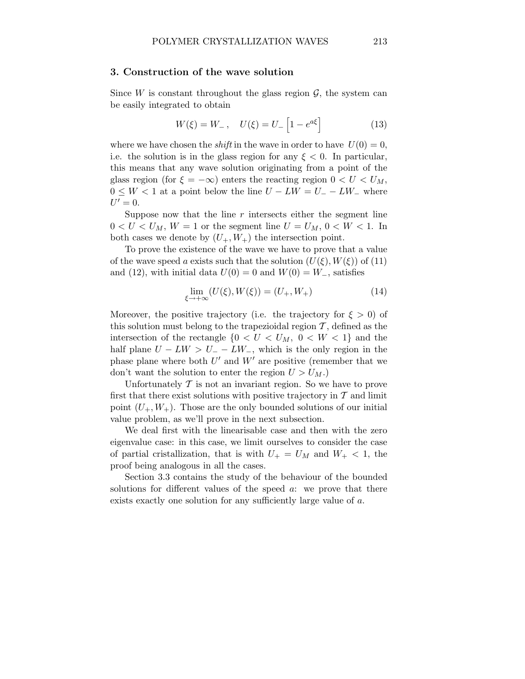#### 3. Construction of the wave solution

Since  $W$  is constant throughout the glass region  $\mathcal{G}$ , the system can be easily integrated to obtain

$$
W(\xi) = W_{-}, \quad U(\xi) = U_{-} \left[ 1 - e^{a\xi} \right] \tag{13}
$$

where we have chosen the *shift* in the wave in order to have  $U(0) = 0$ , i.e. the solution is in the glass region for any  $\xi < 0$ . In particular, this means that any wave solution originating from a point of the glass region (for  $\xi = -\infty$ ) enters the reacting region  $0 < U < U_M$ ,  $0 \leq W < 1$  at a point below the line  $U - LW = U - LW$  where  $U'=0.$ 

Suppose now that the line  $r$  intersects either the segment line  $0 < U < U_M$ ,  $W = 1$  or the segment line  $U = U_M$ ,  $0 < W < 1$ . In both cases we denote by  $(U_+, W_+)$  the intersection point.

To prove the existence of the wave we have to prove that a value of the wave speed a exists such that the solution  $(U(\xi), W(\xi))$  of (11) and (12), with initial data  $U(0) = 0$  and  $W(0) = W_-\$ , satisfies

$$
\lim_{\xi \to +\infty} (U(\xi), W(\xi)) = (U_+, W_+) \tag{14}
$$

Moreover, the positive trajectory (i.e. the trajectory for  $\xi > 0$ ) of this solution must belong to the trapezioidal region  $\mathcal T$ , defined as the intersection of the rectangle  $\{0 < U < U_M, 0 < W < 1\}$  and the half plane  $U - LW > U_ - - LW_$ , which is the only region in the phase plane where both  $U'$  and  $W'$  are positive (remember that we don't want the solution to enter the region  $U > U_M$ .)

Unfortunately  $T$  is not an invariant region. So we have to prove first that there exist solutions with positive trajectory in  $\mathcal T$  and limit point  $(U_+, W_+)$ . Those are the only bounded solutions of our initial value problem, as we'll prove in the next subsection.

We deal first with the linearisable case and then with the zero eigenvalue case: in this case, we limit ourselves to consider the case of partial cristallization, that is with  $U_+ = U_M$  and  $W_+ < 1$ , the proof being analogous in all the cases.

Section 3.3 contains the study of the behaviour of the bounded solutions for different values of the speed  $a$ : we prove that there exists exactly one solution for any sufficiently large value of a.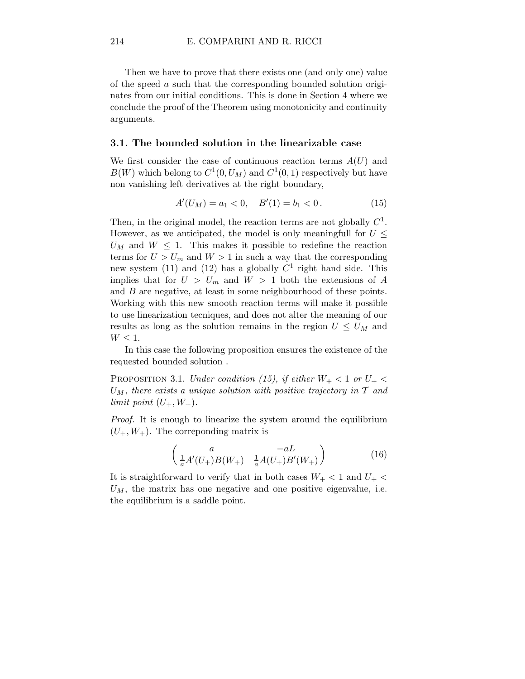Then we have to prove that there exists one (and only one) value of the speed a such that the corresponding bounded solution originates from our initial conditions. This is done in Section 4 where we conclude the proof of the Theorem using monotonicity and continuity arguments.

#### 3.1. The bounded solution in the linearizable case

We first consider the case of continuous reaction terms  $A(U)$  and  $B(W)$  which belong to  $C^1(0, U_M)$  and  $C^1(0, 1)$  respectively but have non vanishing left derivatives at the right boundary,

$$
A'(U_M) = a_1 < 0, \quad B'(1) = b_1 < 0. \tag{15}
$$

Then, in the original model, the reaction terms are not globally  $C^1$ . However, as we anticipated, the model is only meaningfull for  $U \leq$  $U_M$  and  $W \leq 1$ . This makes it possible to redefine the reaction terms for  $U > U_m$  and  $W > 1$  in such a way that the corresponding new system (11) and (12) has a globally  $C<sup>1</sup>$  right hand side. This implies that for  $U > U_m$  and  $W > 1$  both the extensions of A and B are negative, at least in some neighbourhood of these points. Working with this new smooth reaction terms will make it possible to use linearization tecniques, and does not alter the meaning of our results as long as the solution remains in the region  $U \leq U_M$  and  $W \leq 1$ .

In this case the following proposition ensures the existence of the requested bounded solution .

PROPOSITION 3.1. Under condition (15), if either  $W_+ < 1$  or  $U_+ <$  $U_M$ , there exists a unique solution with positive trajectory in  $T$  and limit point  $(U_+, W_+).$ 

Proof. It is enough to linearize the system around the equilibrium  $(U_+, W_+)$ . The correponding matrix is

$$
\begin{pmatrix} a & -aL \\ \frac{1}{a}A'(U_+)B(W_+) & \frac{1}{a}A(U_+)B'(W_+) \end{pmatrix}
$$
 (16)

It is straightforward to verify that in both cases  $W_+$  < 1 and  $U_+$  <  $U_M$ , the matrix has one negative and one positive eigenvalue, i.e. the equilibrium is a saddle point.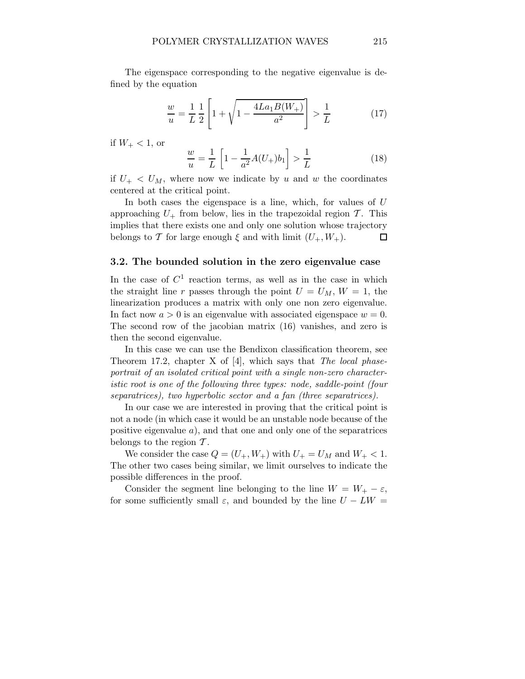The eigenspace corresponding to the negative eigenvalue is defined by the equation

$$
\frac{w}{u} = \frac{1}{L} \frac{1}{2} \left[ 1 + \sqrt{1 - \frac{4La_1B(W_+)}{a^2}} \right] > \frac{1}{L}
$$
 (17)

if  $W_+ < 1$ , or

$$
\frac{w}{u} = \frac{1}{L} \left[ 1 - \frac{1}{a^2} A(U_+) b_1 \right] > \frac{1}{L}
$$
 (18)

if  $U_{+} < U_{M}$ , where now we indicate by u and w the coordinates centered at the critical point.

In both cases the eigenspace is a line, which, for values of U approaching  $U_{+}$  from below, lies in the trapezoidal region  $\mathcal{T}$ . This implies that there exists one and only one solution whose trajectory belongs to T for large enough  $\xi$  and with limit  $(U_+, W_+).$  $\Box$ 

### 3.2. The bounded solution in the zero eigenvalue case

In the case of  $C<sup>1</sup>$  reaction terms, as well as in the case in which the straight line r passes through the point  $U = U_M$ ,  $W = 1$ , the linearization produces a matrix with only one non zero eigenvalue. In fact now  $a > 0$  is an eigenvalue with associated eigenspace  $w = 0$ . The second row of the jacobian matrix (16) vanishes, and zero is then the second eigenvalue.

In this case we can use the Bendixon classification theorem, see Theorem 17.2, chapter X of [4], which says that The local phaseportrait of an isolated critical point with a single non-zero characteristic root is one of the following three types: node, saddle-point (four separatrices), two hyperbolic sector and a fan (three separatrices).

In our case we are interested in proving that the critical point is not a node (in which case it would be an unstable node because of the positive eigenvalue  $a$ ), and that one and only one of the separatrices belongs to the region  $\mathcal T$ .

We consider the case  $Q = (U_+, W_+)$  with  $U_+ = U_M$  and  $W_+ < 1$ . The other two cases being similar, we limit ourselves to indicate the possible differences in the proof.

Consider the segment line belonging to the line  $W = W_+ - \varepsilon$ , for some sufficiently small  $\varepsilon$ , and bounded by the line  $U - LW =$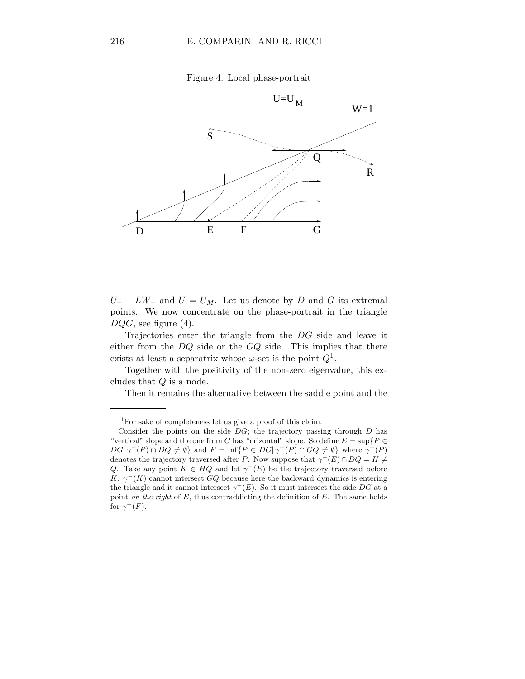Figure 4: Local phase-portrait



 $U = -L W =$  and  $U = U_M$ . Let us denote by D and G its extremal points. We now concentrate on the phase-portrait in the triangle  $DQG$ , see figure (4).

Trajectories enter the triangle from the DG side and leave it either from the  $DQ$  side or the  $GQ$  side. This implies that there exists at least a separatrix whose  $\omega$ -set is the point  $Q^1$ .

Together with the positivity of the non-zero eigenvalue, this excludes that Q is a node.

Then it remains the alternative between the saddle point and the

<sup>1</sup>For sake of completeness let us give a proof of this claim.

Consider the points on the side  $DG$ ; the trajectory passing through  $D$  has "vertical" slope and the one from G has "orizontal" slope. So define  $E = \sup\{P \in$  $DG|\gamma^+(P) \cap DQ \neq \emptyset$  and  $F = \inf\{P \in DG|\gamma^+(P) \cap GQ \neq \emptyset\}$  where  $\gamma^+(P)$ denotes the trajectory traversed after P. Now suppose that  $\gamma^+(E) \cap DQ = H \neq$ Q. Take any point  $K \in HQ$  and let  $\gamma^{-}(E)$  be the trajectory traversed before K.  $\gamma^{-}(K)$  cannot intersect GQ because here the backward dynamics is entering the triangle and it cannot intersect  $\gamma^+(E)$ . So it must intersect the side DG at a point *on the right* of  $E$ , thus contraddicting the definition of  $E$ . The same holds for  $\gamma^+(F)$ .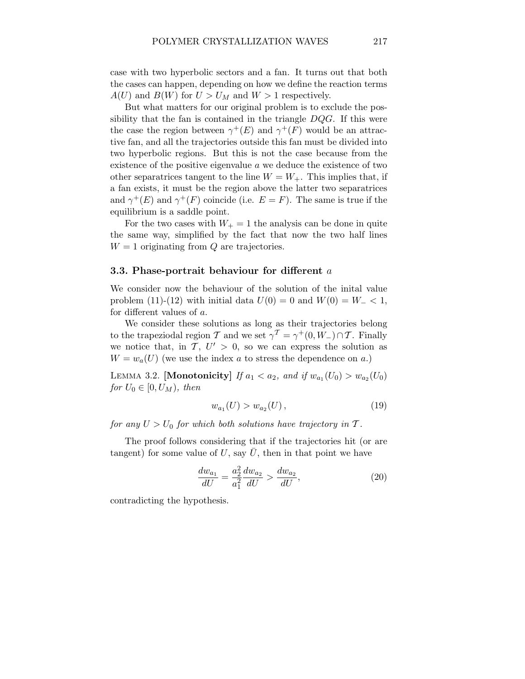case with two hyperbolic sectors and a fan. It turns out that both the cases can happen, depending on how we define the reaction terms  $A(U)$  and  $B(W)$  for  $U > U_M$  and  $W > 1$  respectively.

But what matters for our original problem is to exclude the possibility that the fan is contained in the triangle  $DQG$ . If this were the case the region between  $\gamma^+(E)$  and  $\gamma^+(F)$  would be an attractive fan, and all the trajectories outside this fan must be divided into two hyperbolic regions. But this is not the case because from the existence of the positive eigenvalue a we deduce the existence of two other separatrices tangent to the line  $W = W_+$ . This implies that, if a fan exists, it must be the region above the latter two separatrices and  $\gamma^+(E)$  and  $\gamma^+(F)$  coincide (i.e.  $E = F$ ). The same is true if the equilibrium is a saddle point.

For the two cases with  $W_+ = 1$  the analysis can be done in quite the same way, simplified by the fact that now the two half lines  $W = 1$  originating from Q are trajectories.

#### 3.3. Phase-portrait behaviour for different  $a$

We consider now the behaviour of the solution of the inital value problem (11)-(12) with initial data  $U(0) = 0$  and  $W(0) = W_- < 1$ , for different values of a.

We consider these solutions as long as their trajectories belong to the trapeziodal region T and we set  $\gamma^{\mathcal{T}} = \gamma^+(0, W_-) \cap \mathcal{T}$ . Finally we notice that, in  $\mathcal{T}, U' > 0$ , so we can express the solution as  $W = w_a(U)$  (we use the index a to stress the dependence on a.)

LEMMA 3.2. [Monotonicity] If  $a_1 < a_2$ , and if  $w_{a_1}(U_0) > w_{a_2}(U_0)$ for  $U_0 \in [0, U_M)$ , then

$$
w_{a_1}(U) > w_{a_2}(U), \t\t(19)
$$

for any  $U > U_0$  for which both solutions have trajectory in T.

The proof follows considering that if the trajectories hit (or are tangent) for some value of U, say  $\overline{U}$ , then in that point we have

$$
\frac{dw_{a_1}}{dU} = \frac{a_2^2}{a_1^2} \frac{dw_{a_2}}{dU} > \frac{dw_{a_2}}{dU},
$$
\n(20)

contradicting the hypothesis.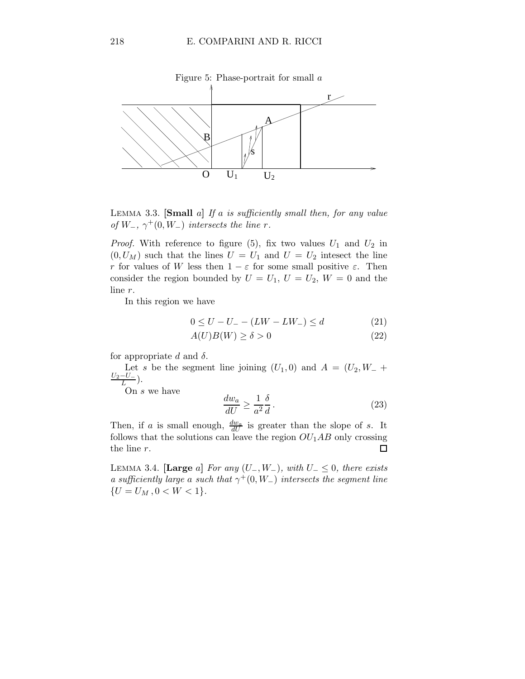

LEMMA 3.3. [Small a] If a is sufficiently small then, for any value of  $W_-, \gamma^+(0, W_-)$  intersects the line r.

*Proof.* With reference to figure (5), fix two values  $U_1$  and  $U_2$  in  $(0, U_M)$  such that the lines  $U = U_1$  and  $U = U_2$  intesect the line r for values of W less then  $1 - \varepsilon$  for some small positive  $\varepsilon$ . Then consider the region bounded by  $U = U_1, U = U_2, W = 0$  and the line r.

In this region we have

$$
0 \le U - U_{-} - (LW - LW_{-}) \le d \tag{21}
$$

$$
A(U)B(W) \ge \delta > 0\tag{22}
$$

for appropriate d and  $\delta$ .

Let s be the segment line joining  $(U_1, 0)$  and  $A = (U_2, W_- +$  $U_2-U_-\$  $\frac{-U-}{L}$ ).

On s we have

$$
\frac{dw_a}{dU} \ge \frac{1}{a^2} \frac{\delta}{d} \,. \tag{23}
$$

Then, if a is small enough,  $\frac{dw_a}{dU}$  is greater than the slope of s. It follows that the solutions can leave the region  $OU_1AB$  only crossing the line r.  $\Box$ 

LEMMA 3.4. [Large a] For any  $(U_-, W_-)$ , with  $U_- \leq 0$ , there exists a sufficiently large a such that  $\gamma^+(0, W_-)$  intersects the segment line  ${U = U_M, 0 < W < 1}.$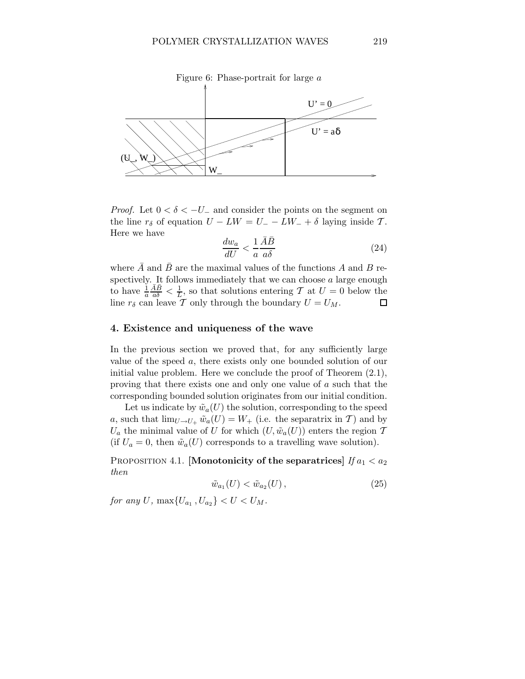

*Proof.* Let  $0 < \delta < -U_{-}$  and consider the points on the segment on the line  $r_{\delta}$  of equation  $U - LW = U - LW - \delta$  laying inside T. Here we have

$$
\frac{dw_a}{dU} < \frac{1}{a} \frac{\bar{A}\bar{B}}{a\delta} \tag{24}
$$

where  $\overline{A}$  and  $\overline{B}$  are the maximal values of the functions A and B respectively. It follows immediately that we can choose  $a$  large enough  $\frac{\bar{A}\bar{B}}{a\delta} < \frac{1}{L}$ , so that solutions entering T at  $U = 0$  below the to have  $\frac{1}{a}$ line  $r_{\delta}$  can leave T only through the boundary  $U = U_M$ .  $\Box$ 

## 4. Existence and uniqueness of the wave

In the previous section we proved that, for any sufficiently large value of the speed a, there exists only one bounded solution of our initial value problem. Here we conclude the proof of Theorem (2.1), proving that there exists one and only one value of a such that the corresponding bounded solution originates from our initial condition.

Let us indicate by  $\tilde{w}_a(U)$  the solution, corresponding to the speed a, such that  $\lim_{U\to U_+} \tilde{w}_a(U) = W_+$  (i.e. the separatrix in T) and by  $U_a$  the minimal value of U for which  $(U, \tilde{w}_a(U))$  enters the region  $\mathcal T$ (if  $U_a = 0$ , then  $\tilde{w}_a(U)$  corresponds to a travelling wave solution).

PROPOSITION 4.1. [Monotonicity of the separatrices]  $If a_1 < a_2$ then

$$
\tilde{w}_{a_1}(U) < \tilde{w}_{a_2}(U) \,,\tag{25}
$$

for any U,  $\max\{U_{a_1}, U_{a_2}\} < U < U_M$ .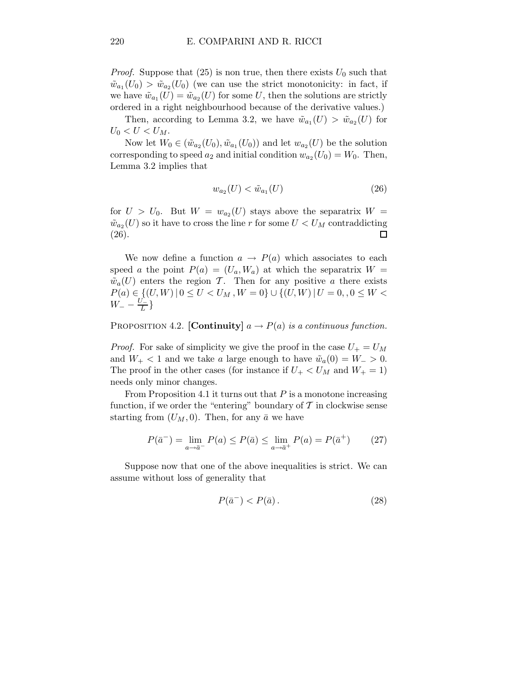*Proof.* Suppose that (25) is non true, then there exists  $U_0$  such that  $\tilde{w}_{a_1}(U_0) > \tilde{w}_{a_2}(U_0)$  (we can use the strict monotonicity: in fact, if we have  $\tilde{w}_{a_1}(U) = \tilde{w}_{a_2}(U)$  for some U, then the solutions are strictly ordered in a right neighbourhood because of the derivative values.)

Then, according to Lemma 3.2, we have  $\tilde{w}_{a_1}(U) > \tilde{w}_{a_2}(U)$  for  $U_0 < U < U_M$ .

Now let  $W_0 \in (\tilde{w}_{a_2}(U_0), \tilde{w}_{a_1}(U_0))$  and let  $w_{a_2}(U)$  be the solution corresponding to speed  $a_2$  and initial condition  $w_{a_2}(U_0) = W_0$ . Then, Lemma 3.2 implies that

$$
w_{a_2}(U) < \tilde{w}_{a_1}(U) \tag{26}
$$

for  $U > U_0$ . But  $W = w_{a_2}(U)$  stays above the separatrix  $W =$  $\tilde{w}_{a_2}(U)$  so it have to cross the line r for some  $U < U_M$  contraddicting (26).  $\Box$ 

We now define a function  $a \to P(a)$  which associates to each speed a the point  $P(a) = (U_a, W_a)$  at which the separatrix  $W =$  $\tilde{w}_a(U)$  enters the region T. Then for any positive a there exists  $P(a) \in \{ (U, W) \mid 0 \leq U < U_M, W = 0 \} \cup \{ (U, W) \mid U = 0, 0 \leq W <$  $W_{-} - \frac{U_{-}^{2}}{L}$  $\frac{1}{L}$ 

PROPOSITION 4.2. [Continuity]  $a \rightarrow P(a)$  is a continuous function.

*Proof.* For sake of simplicity we give the proof in the case  $U_+ = U_M$ and  $W_+ < 1$  and we take a large enough to have  $\tilde{w}_a(0) = W_- > 0$ . The proof in the other cases (for instance if  $U_+ < U_M$  and  $W_+ = 1$ ) needs only minor changes.

From Proposition 4.1 it turns out that  $P$  is a monotone increasing function, if we order the "entering" boundary of  $\mathcal T$  in clockwise sense starting from  $(U_M, 0)$ . Then, for any  $\bar{a}$  we have

$$
P(\bar{a}^{-}) = \lim_{a \to \bar{a}^{-}} P(a) \le P(\bar{a}) \le \lim_{a \to \bar{a}^{+}} P(a) = P(\bar{a}^{+})
$$
 (27)

Suppose now that one of the above inequalities is strict. We can assume without loss of generality that

$$
P(\bar{a}^-) < P(\bar{a}).\tag{28}
$$